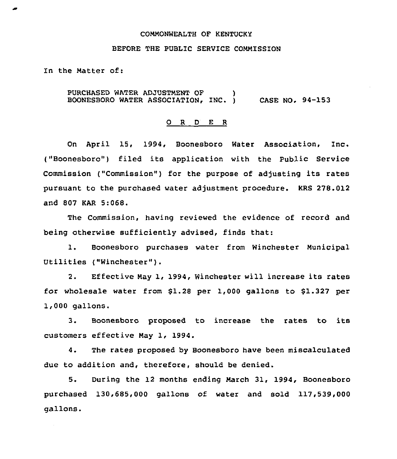### COMMONWEALTH QF KENTUCKY

## BEFORE THE PUBLIC SERVICE COMMISSION

In the Matter of:

PURCHASED WATER ADJUSTMENT OF ) BOONESBORO WATER ASSOCIATION, INC. 1 CASE NO. 94-153

#### O R D E R

On April 15, 1994, Boonesboro Water Association, Inc. ("Boonesboro") filed its application with the Public Service Commission ("Commission") for the purpose of adjusting its rates pursuant to the purchased water adjustment procedure. KRS 278.012 and 807 KAR 5:068.

The Commission, having reviewed the evidence of record and being otherwise sufficiently advised, finds that:

1. Boonesboro purchases water from Winchester Municipal Utilities ("Winchester").

2. Effective May 1, 1994, Winchester will increase its rates for wholesale water from \$1.28 per 1,000 gallons to 81.327 per 1,000 gallons.

3. Boonesboro proposed to increase the rates to its customers effective May 1, 1994.

4. The rates proposed by Boonesboro have been miscalculated due to addition and, therefore, should be denied.

5. During the 12 months ending March 31, 1994, Boonesboro purchased 130,685,000 gallons of water and sold 117,539,000 gallons.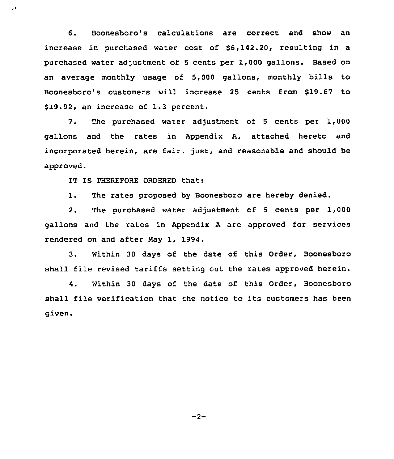6. Boonesboro's calculations are correct and show an increase in purchased water cost of \$6,142.20, resulting in a purchased water adjustment of 5 cents per 1,000 gallons. Based on an average monthly usage of 5,000 gallons, monthly bills to Boonesboro's customers will increase 25 cents from \$19.67 to \$19.92, an increase of 1.3 percent.

7. The purchased water adjustment of <sup>5</sup> cents per 1,000 gallons and the rates in Appendix A, attached hereto and incorporated herein, are fair, just, and reasonable and should be approved.

IT IS THEREFORE ORDERED that:

Ļ.

1. The rates proposed by Boonesboro are hereby denied.

2. The purchased water adjustment of 5 cents per 1,000 gallons and the rates in Appendix <sup>A</sup> are approved for services rendered on and after Nay 1, 1994.

3. Within 30 days of the date of this Order, Boonesboro shall file revised tariffs setting out the rates approved herein.

4. Within 30 days of the date of this Order, Boonesboro shall file verification that the notice to its customers has been given.

 $-2-$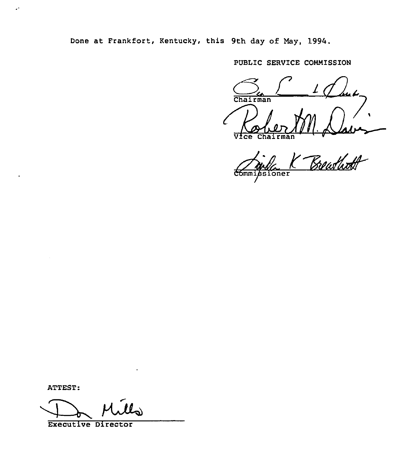Done at Frankfort, Kentucky, this 9th day of May, 1994.

PUBLIC SERVICE COMMISSION

 $1$  can be Chairman 1

Commissioner

ATTEST:

 $\mathcal{L}^{\star}$ 

ATTEST:<br>Executive Director